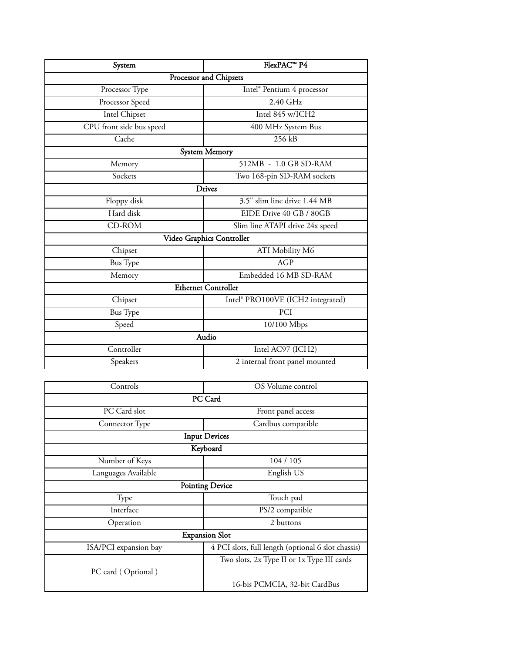| System                     | FlexPAC <sup>™</sup> P4           |  |
|----------------------------|-----------------------------------|--|
| Processor and Chipsets     |                                   |  |
| Processor Type             | Intel® Pentium 4 processor        |  |
| Processor Speed            | $2.40$ GHz                        |  |
| Intel Chipset              | Intel 845 w/ICH2                  |  |
| CPU front side bus speed   | 400 MHz System Bus                |  |
| Cache                      | 256 kB                            |  |
| <b>System Memory</b>       |                                   |  |
| Memory                     | 512MB - 1.0 GB SD-RAM             |  |
| Sockets                    | Two 168-pin SD-RAM sockets        |  |
| <b>Drives</b>              |                                   |  |
| Floppy disk                | 3.5" slim line drive 1.44 MB      |  |
| Hard disk                  | EIDE Drive 40 GB / 80GB           |  |
| CD-ROM                     | Slim line ATAPI drive 24x speed   |  |
| Video Graphics Controller  |                                   |  |
| Chipset                    | ATI Mobility M6                   |  |
| <b>Bus</b> Type            | AGP                               |  |
| Memory                     | Embedded 16 MB SD-RAM             |  |
| <b>Ethernet Controller</b> |                                   |  |
| Chipset                    | Intel® PRO100VE (ICH2 integrated) |  |
| <b>Bus</b> Type            | PCI                               |  |
| Speed                      | 10/100 Mbps                       |  |
| Audio                      |                                   |  |
| Controller                 | Intel AC97 (ICH2)                 |  |
| Speakers                   | 2 internal front panel mounted    |  |

| Controls               | OS Volume control                                  |  |
|------------------------|----------------------------------------------------|--|
| PC Card                |                                                    |  |
| PC Card slot           | Front panel access                                 |  |
| Connector Type         | Cardbus compatible                                 |  |
| <b>Input Devices</b>   |                                                    |  |
| Keyboard               |                                                    |  |
| Number of Keys         | 104 / 105                                          |  |
| Languages Available    | English US                                         |  |
| <b>Pointing Device</b> |                                                    |  |
| Type                   | Touch pad                                          |  |
| Interface              | PS/2 compatible                                    |  |
| Operation              | 2 buttons                                          |  |
| <b>Expansion Slot</b>  |                                                    |  |
| ISA/PCI expansion bay  | 4 PCI slots, full length (optional 6 slot chassis) |  |
|                        | Two slots, 2x Type II or 1x Type III cards         |  |
| PC card (Optional)     |                                                    |  |
|                        | 16-bis PCMCIA, 32-bit CardBus                      |  |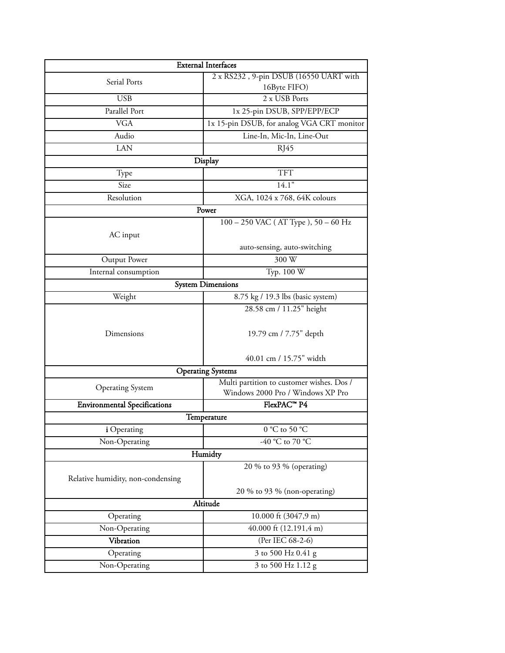|                                     | <b>External Interfaces</b>                 |  |
|-------------------------------------|--------------------------------------------|--|
| Serial Ports                        | 2 x RS232, 9-pin DSUB (16550 UART with     |  |
|                                     | 16Byte FIFO)                               |  |
| <b>USB</b>                          | 2 x USB Ports                              |  |
| Parallel Port                       | 1x 25-pin DSUB, SPP/EPP/ECP                |  |
| <b>VGA</b>                          | 1x 15-pin DSUB, for analog VGA CRT monitor |  |
| Audio                               | Line-In, Mic-In, Line-Out                  |  |
| <b>LAN</b>                          | RJ45                                       |  |
| Display                             |                                            |  |
| Type                                | <b>TFT</b>                                 |  |
| Size                                | 14.1"                                      |  |
| Resolution                          | XGA, 1024 x 768, 64K colours               |  |
|                                     | Power                                      |  |
|                                     | $100 - 250$ VAC (AT Type), $50 - 60$ Hz    |  |
| AC input                            |                                            |  |
|                                     | auto-sensing, auto-switching               |  |
| Output Power                        | 300 W                                      |  |
| Internal consumption                | Typ. 100 W                                 |  |
| <b>System Dimensions</b>            |                                            |  |
| Weight                              | 8.75 kg / 19.3 lbs (basic system)          |  |
|                                     | 28.58 cm / 11.25" height                   |  |
| Dimensions                          | 19.79 cm / 7.75" depth                     |  |
|                                     | 40.01 cm / 15.75" width                    |  |
| <b>Operating Systems</b>            |                                            |  |
| <b>Operating System</b>             | Multi partition to customer wishes. Dos /  |  |
|                                     | Windows 2000 Pro / Windows XP Pro          |  |
| <b>Environmental Specifications</b> | FlexPAC™ P4                                |  |
|                                     | Temperature                                |  |
| i Operating                         | $0$ °C to 50 °C $\,$                       |  |
| Non-Operating                       | -40 °C to 70 °C                            |  |
|                                     | Humidty                                    |  |
|                                     | 20 % to 93 % (operating)                   |  |
| Relative humidity, non-condensing   |                                            |  |
|                                     | 20 % to 93 % (non-operating)               |  |
| Altitude                            |                                            |  |
| Operating                           | 10.000 ft (3047,9 m)                       |  |
| Non-Operating                       | 40.000 ft $(12.191, 4 \text{ m})$          |  |
| Vibration                           | (Per IEC 68-2-6)                           |  |
| Operating                           | 3 to 500 Hz 0.41 g                         |  |
| Non-Operating                       | 3 to 500 Hz 1.12 g                         |  |